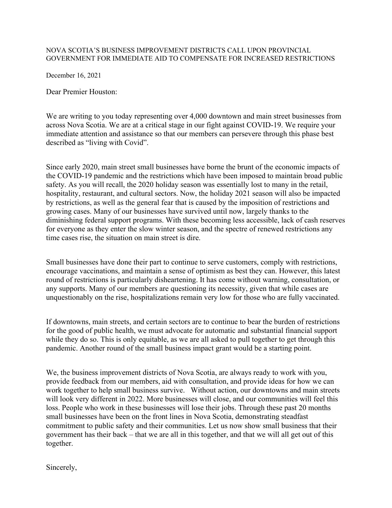## NOVA SCOTIA'S BUSINESS IMPROVEMENT DISTRICTS CALL UPON PROVINCIAL GOVERNMENT FOR IMMEDIATE AID TO COMPENSATE FOR INCREASED RESTRICTIONS

December 16, 2021

Dear Premier Houston:

We are writing to you today representing over 4,000 downtown and main street businesses from across Nova Scotia. We are at a critical stage in our fight against COVID-19. We require your immediate attention and assistance so that our members can persevere through this phase best described as "living with Covid".

Since early 2020, main street small businesses have borne the brunt of the economic impacts of the COVID-19 pandemic and the restrictions which have been imposed to maintain broad public safety. As you will recall, the 2020 holiday season was essentially lost to many in the retail, hospitality, restaurant, and cultural sectors. Now, the holiday 2021 season will also be impacted by restrictions, as well as the general fear that is caused by the imposition of restrictions and growing cases. Many of our businesses have survived until now, largely thanks to the diminishing federal support programs. With these becoming less accessible, lack of cash reserves for everyone as they enter the slow winter season, and the spectre of renewed restrictions any time cases rise, the situation on main street is dire.

Small businesses have done their part to continue to serve customers, comply with restrictions, encourage vaccinations, and maintain a sense of optimism as best they can. However, this latest round of restrictions is particularly disheartening. It has come without warning, consultation, or any supports. Many of our members are questioning its necessity, given that while cases are unquestionably on the rise, hospitalizations remain very low for those who are fully vaccinated.

If downtowns, main streets, and certain sectors are to continue to bear the burden of restrictions for the good of public health, we must advocate for automatic and substantial financial support while they do so. This is only equitable, as we are all asked to pull together to get through this pandemic. Another round of the small business impact grant would be a starting point.

We, the business improvement districts of Nova Scotia, are always ready to work with you, provide feedback from our members, aid with consultation, and provide ideas for how we can work together to help small business survive. Without action, our downtowns and main streets will look very different in 2022. More businesses will close, and our communities will feel this loss. People who work in these businesses will lose their jobs. Through these past 20 months small businesses have been on the front lines in Nova Scotia, demonstrating steadfast commitment to public safety and their communities. Let us now show small business that their government has their back – that we are all in this together, and that we will all get out of this together.

Sincerely,